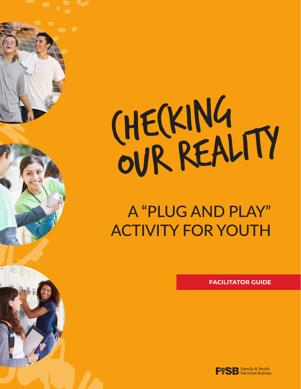

# A "PLUG AND PLAY" ACTIVITY FOR YOUTH

**FACILITATOR GUIDE**

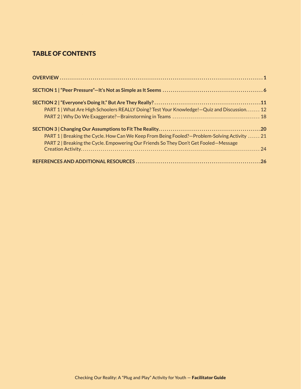# TABLE OF CONTENTS

| PART 1   What Are High Schoolers REALLY Doing? Test Your Knowledge! - Quiz and Discussion 12   |  |
|------------------------------------------------------------------------------------------------|--|
|                                                                                                |  |
|                                                                                                |  |
| PART 1   Breaking the Cycle. How Can We Keep From Being Fooled? - Problem-Solving Activity  21 |  |
| PART 2   Breaking the Cycle. Empowering Our Friends So They Don't Get Fooled-Message           |  |
|                                                                                                |  |
|                                                                                                |  |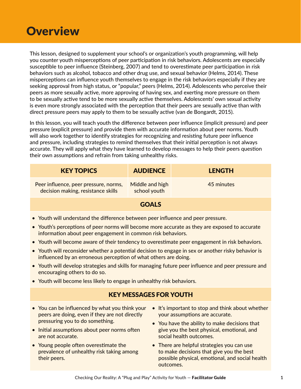# **Overview**

This lesson, designed to supplement your school's or organization's youth programming, will help you counter youth misperceptions of peer participation in risk behaviors. Adolescents are especially susceptible to peer influence (Steinberg, 2007) and tend to overestimate peer participation in risk behaviors such as alcohol, tobacco and other drug use, and sexual behavior (Helms, 2014). These misperceptions can influence youth themselves to engage in the risk behaviors especially if they are seeking approval from high status, or "popular," peers (Helms, 2014). Adolescents who perceive their peers as more sexually active, more approving of having sex, and exerting more pressure on them to be sexually active tend to be more sexually active themselves. Adolescents' own sexual activity is even more strongly associated with the perception that their peers are sexually active than with direct pressure peers may apply to them to be sexually active (van de Bongardt, 2015).

In this lesson, you will teach youth the difference between peer influence (implicit pressure) and peer pressure (explicit pressure) and provide them with accurate information about peer norms. Youth will also work together to identify strategies for recognizing and resisting future peer influence and pressure, including strategies to remind themselves that their initial perception is not always accurate. They will apply what they have learned to develop messages to help their peers question their own assumptions and refrain from taking unhealthy risks.

| <b>KEY TOPICS</b>                                                           | <b>AUDIENCE</b>                 | <b>LENGTH</b> |
|-----------------------------------------------------------------------------|---------------------------------|---------------|
| Peer influence, peer pressure, norms,<br>decision making, resistance skills | Middle and high<br>school youth | 45 minutes    |

# **GOALS**

- Youth will understand the difference between peer influence and peer pressure.
- Youth's perceptions of peer norms will become more accurate as they are exposed to accurate information about peer engagement in common risk behaviors.
- Youth will become aware of their tendency to overestimate peer engagement in risk behaviors.
- Youth will reconsider whether a potential decision to engage in sex or another risky behavior is influenced by an erroneous perception of what others are doing.
- Youth will develop strategies and skills for managing future peer influence and peer pressure and encouraging others to do so.
- Youth will become less likely to engage in unhealthy risk behaviors.

# KEY MESSAGES FOR YOUTH

- You can be influenced by what you think your peers are doing, even if they are not directly pressuring you to do something.
- Initial assumptions about peer norms often are not accurate.
- Young people often overestimate the prevalence of unhealthy risk taking among their peers.
- It's important to stop and think about whether your assumptions are accurate.
- You have the ability to make decisions that give you the best physical, emotional, and social health outcomes.
- There are helpful strategies you can use to make decisions that give you the best possible physical, emotional, and social health outcomes.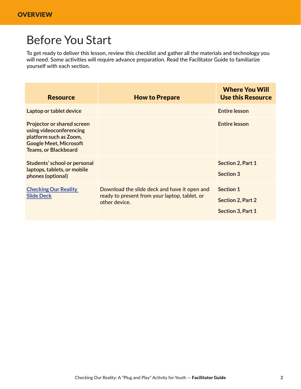# Before You Start

To get ready to deliver this lesson, review this checklist and gather all the materials and technology you will need. Some activities will require advance preparation. Read the Facilitator Guide to familiarize yourself with each section.

| <b>Resource</b>                                                                                                                                        | <b>How to Prepare</b>                                                                                          | <b>Where You Will</b><br><b>Use this Resource</b>                 |
|--------------------------------------------------------------------------------------------------------------------------------------------------------|----------------------------------------------------------------------------------------------------------------|-------------------------------------------------------------------|
| Laptop or tablet device                                                                                                                                |                                                                                                                | <b>Entire lesson</b>                                              |
| <b>Projector or shared screen</b><br>using videoconferencing<br>platform such as Zoom,<br><b>Google Meet, Microsoft</b><br><b>Teams, or Blackboard</b> |                                                                                                                | <b>Entire lesson</b>                                              |
| Students' school or personal<br>laptops, tablets, or mobile<br>phones (optional)                                                                       |                                                                                                                | Section 2, Part 1<br>Section 3                                    |
| <b>Checking Our Reality</b><br><b>Slide Deck</b>                                                                                                       | Download the slide deck and have it open and<br>ready to present from your laptop, tablet, or<br>other device. | <b>Section 1</b><br><b>Section 2, Part 2</b><br>Section 3, Part 1 |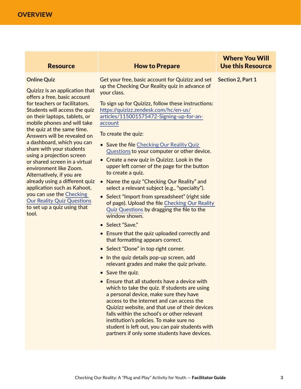| <b>Resource</b> | <b>How to Prepare</b> |
|-----------------|-----------------------|
|-----------------|-----------------------|

#### **Online Quiz**

Quizizz is an application that offers a free, basic account for teachers or facilitators. Students will access the quiz on their laptops, tablets, or mobile phones and will take the quiz at the same time. Answers will be revealed on a dashboard, which you can share with your students using a projection screen or shared screen in a virtual environment like Zoom. Alternatively, if you are application such as Kahoot, you can use the [Checking](https://teenpregnancy.acf.hhs.gov/sites/default/files/resource-files/CheckingOurRealityQuizQuestions.xlsx)  [Our Reality Quiz Questions](https://teenpregnancy.acf.hhs.gov/sites/default/files/resource-files/CheckingOurRealityQuizQuestions.xlsx) to set up a quiz using that tool.

Get your free, basic account for Quizizz and set up the Checking Our Reality quiz in advance of your class.

To sign up for Quizizz, follow these instructions: [https://quizizz.zendesk.com/hc/en-us/](https://quizizz.zendesk.com/hc/en-us/articles/115001575472-Signing-up-for-an-account) [articles/115001575472-Signing-up-for-an](https://quizizz.zendesk.com/hc/en-us/articles/115001575472-Signing-up-for-an-account)[account](https://quizizz.zendesk.com/hc/en-us/articles/115001575472-Signing-up-for-an-account)

To create the quiz:

- Save the file Checking Our Reality Quiz [Questions](https://teenpregnancy.acf.hhs.gov/sites/default/files/resource-files/CheckingOurRealityQuizQuestions.xlsx) to your computer or other device.
- Create a new quiz in Quizizz. Look in the upper left corner of the page for the button to create a quiz.
- already using a different quiz Name the quiz "Checking Our Reality" and select a relevant subject (e.g., "specialty").
	- Select "Import from spreadsheet" (right side of page). Upload the file [Checking Our Reality](https://teenpregnancy.acf.hhs.gov/sites/default/files/resource-files/CheckingOurRealityQuizQuestions.xlsx)  [Quiz Questions](https://teenpregnancy.acf.hhs.gov/sites/default/files/resource-files/CheckingOurRealityQuizQuestions.xlsx) by dragging the file to the window shown.
	- Select "Save."
	- Ensure that the quiz uploaded correctly and that formatting appears correct.
	- Select "Done" in top right corner.
	- In the quiz details pop-up screen, add relevant grades and make the quiz private.
	- Save the quiz.
	- Ensure that all students have a device with which to take the quiz. If students are using a personal device, make sure they have access to the internet and can access the Quizizz website, and that use of their devices falls within the school's or other relevant institution's policies. To make sure no student is left out, you can pair students with partners if only some students have devices.

**Section 2, Part 1**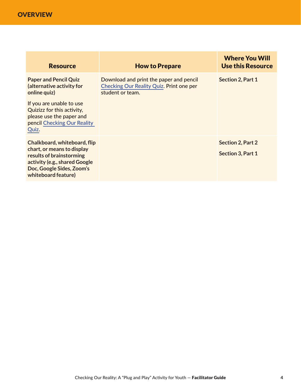**OVERVIEW** 

| <b>Resource</b>                                                                                                                                                             | <b>How to Prepare</b>                                                                                          | <b>Where You Will</b><br><b>Use this Resource</b> |
|-----------------------------------------------------------------------------------------------------------------------------------------------------------------------------|----------------------------------------------------------------------------------------------------------------|---------------------------------------------------|
| <b>Paper and Pencil Quiz</b><br>(alternative activity for<br>online quiz)                                                                                                   | Download and print the paper and pencil<br><b>Checking Our Reality Quiz. Print one per</b><br>student or team. | Section 2, Part 1                                 |
| If you are unable to use<br>Quizizz for this activity,<br>please use the paper and<br>pencil Checking Our Reality<br>Quiz.                                                  |                                                                                                                |                                                   |
| Chalkboard, whiteboard, flip<br>chart, or means to display<br>results of brainstorming<br>activity (e.g., shared Google<br>Doc, Google Sides, Zoom's<br>whiteboard feature) |                                                                                                                | <b>Section 2, Part 2</b><br>Section 3, Part 1     |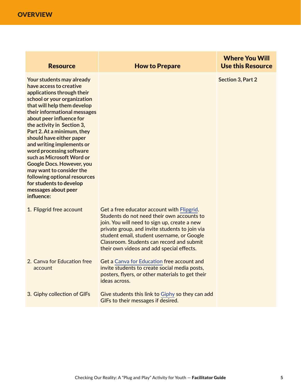**OVERVIEW** 

| <b>Resource</b>                                                                                                                                                                                                                                                                                                                                                                                                                                                                                                                                            | <b>How to Prepare</b>                                                                                                                                                                                                                                                                                                              | <b>Where You Will</b><br><b>Use this Resource</b> |
|------------------------------------------------------------------------------------------------------------------------------------------------------------------------------------------------------------------------------------------------------------------------------------------------------------------------------------------------------------------------------------------------------------------------------------------------------------------------------------------------------------------------------------------------------------|------------------------------------------------------------------------------------------------------------------------------------------------------------------------------------------------------------------------------------------------------------------------------------------------------------------------------------|---------------------------------------------------|
| Your students may already<br>have access to creative<br>applications through their<br>school or your organization<br>that will help them develop<br>their informational messages<br>about peer influence for<br>the activity in Section 3,<br>Part 2. At a minimum, they<br>should have either paper<br>and writing implements or<br>word processing software<br>such as Microsoft Word or<br><b>Google Docs. However, you</b><br>may want to consider the<br>following optional resources<br>for students to develop<br>messages about peer<br>influence: |                                                                                                                                                                                                                                                                                                                                    | <b>Section 3, Part 2</b>                          |
| 1. Flipgrid free account                                                                                                                                                                                                                                                                                                                                                                                                                                                                                                                                   | Get a free educator account with Flipgrid.<br>Students do not need their own accounts to<br>join. You will need to sign up, create a new<br>private group, and invite students to join via<br>student email, student username, or Google<br>Classroom. Students can record and submit<br>their own videos and add special effects. |                                                   |
| 2. Canva for Education free<br>account                                                                                                                                                                                                                                                                                                                                                                                                                                                                                                                     | Get a Canva for Education free account and<br>invite students to create social media posts,<br>posters, flyers, or other materials to get their<br>ideas across.                                                                                                                                                                   |                                                   |
| 3. Giphy collection of GIFs                                                                                                                                                                                                                                                                                                                                                                                                                                                                                                                                | Give students this link to Giphy so they can add<br>GIFs to their messages if desired.                                                                                                                                                                                                                                             |                                                   |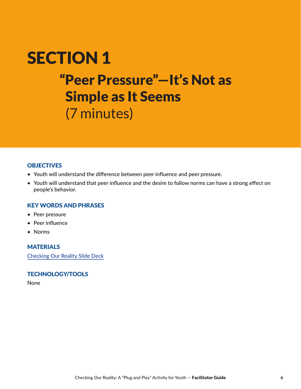# SECTION I Peer Pre SECTION 1 "Peer Pressure"—It's Not as Simple as It Seems (7 minutes)

### **OBJECTIVES**

- Youth will understand the difference between peer influence and peer pressure.
- Youth will understand that peer influence and the desire to follow norms can have a strong effect on people's behavior.

### KEY WORDS AND PHRASES

- Peer pressure
- Peer influence
- Norms

# MATERIALS

[Checking Our Reality Slide Deck](https://teenpregnancy.acf.hhs.gov/sites/default/files/resource-files/CheckingOurRealitySlideDeck.pptx)

### TECHNOLOGY/TOOLS

None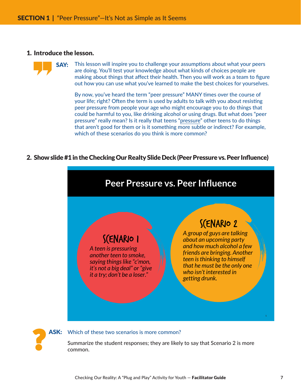#### 1. Introduce the lesson.

?

**SAY:** This lesson will inspire you to challenge your assumptions about what your peers are doing. You'll test your knowledge about what kinds of choices people are making about things that affect their health. Then you will work as a team to figure out how you can use what you've learned to make the best choices for yourselves.

By now, you've heard the term "peer pressure" MANY times over the course of your life; right? Often the term is used by adults to talk with you about resisting peer pressure from people your age who might encourage you to do things that could be harmful to you, like drinking alcohol or using drugs. But what does "peer pressure" really mean? Is it really that teens "pressure" other teens to do things that aren't good for them or is it something more subtle or indirect? For example, which of these scenarios do you think is more common?

#### 2. Show slide #1 in the Checking Our Realty Slide Deck (Peer Pressure vs. Peer Influence)





Summarize the student responses; they are likely to say that Scenario 2 is more common.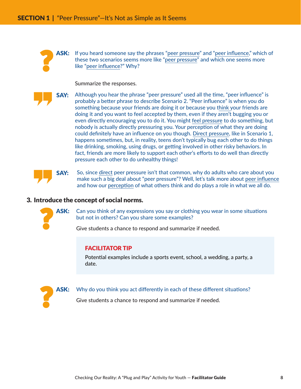ASK: If you heard someone say the phrases "peer pressure" and "peer influence," which of these two scenarios seems more like "peer pressure" and which one seems more like "peer influence?" Why?

Summarize the responses.

?

**SAY:** Although you hear the phrase "peer pressure" used all the time, "peer influence" is probably a better phrase to describe Scenario 2. "Peer influence" is when you do something because your friends are doing it or because you think your friends are doing it and you want to feel accepted by them, even if they aren't bugging you or even directly encouraging you to do it. You might feel pressure to do something, but nobody is actually directly pressuring you. Your perception of what they are doing could definitely have an influence on you though. Direct pressure, like in Scenario 1, happens sometimes, but, in reality, teens don't typically bug each other to do things like drinking, smoking, using drugs, or getting involved in other risky behaviors. In fact, friends are more likely to support each other's efforts to do well than directly pressure each other to do unhealthy things!

**SAY:** So, since direct peer pressure isn't that common, why do adults who care about you make such a big deal about "peer pressure"? Well, let's talk more about peer influence and how our perception of what others think and do plays a role in what we all do.

#### 3. Introduce the concept of social norms.



ASK: Can you think of any expressions you say or clothing you wear in some situations but not in others? Can you share some examples?

Give students a chance to respond and summarize if needed.

#### FACILITATOR TIP

Potential examples include a sports event, school, a wedding, a party, a date.



ASK: Why do you think you act differently in each of these different situations?

Give students a chance to respond and summarize if needed.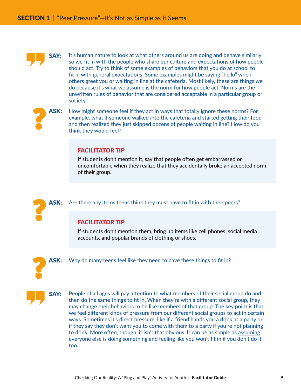

**SAY:** It's human nature to look at what others around us are doing and behave similarly so we fit in with the people who share our culture and expectations of how people should act. Try to think of some examples of behaviors that you do at school to fit in with general expectations. Some examples might be saying "hello" when others greet you or waiting in line at the cafeteria. Most likely, these are things we do because it's what we assume is the norm for how people act. Norms are the unwritten rules of behavior that are considered acceptable in a particular group or society.



**ASK:** How might someone feel if they act in ways that totally ignore these norms? For example, what if someone walked into the cafeteria and started getting their food and then realized they just skipped dozens of people waiting in line? How do you think they would feel?

#### FACILITATOR TIP

If students don't mention it, say that people often get embarrassed or uncomfortable when they realize that they accidentally broke an accepted norm of their group.



ASK: Are there any items teens think they must have to fit in with their peers?

### FACILITATOR TIP

If students don't mention them, bring up items like cell phones, social media accounts, and popular brands of clothing or shoes.



**ASK:** Why do many teens feel like they need to have these things to fit in?



**SAY:** People of all ages will pay attention to what members of their social group do and then do the same things to fit in. When they're with a different social group, they may change their behaviors to be like members of that group. The key point is that we feel different kinds of pressure from our different social groups to act in certain ways. Sometimes it's direct pressure, like if a friend hands you a drink at a party or if they say they don't want you to come with them to a party if you're not planning to drink. More often, though, it isn't that obvious. It can be as simple as assuming everyone else is doing something and feeling like you won't fit in if you don't do it too.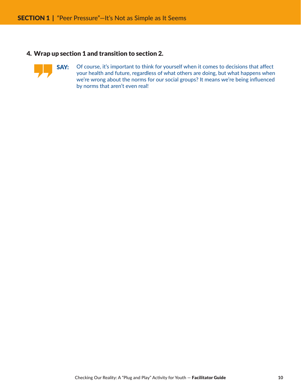### 4. Wrap up section 1 and transition to section 2.



SAY: Of course, it's important to think for yourself when it comes to decisions that affect your health and future, regardless of what others are doing, but what happens when we're wrong about the norms for our social groups? It means we're being influenced by norms that aren't even real!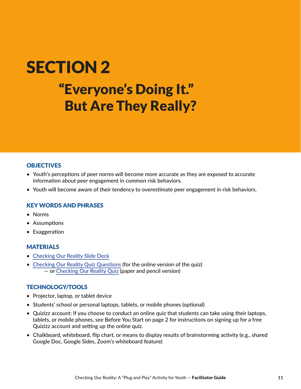# SECTION 2 "Everyone's Doing It." But Are They Really?

# **OBJECTIVES**

- Youth's perceptions of peer norms will become more accurate as they are exposed to accurate information about peer engagement in common risk behaviors.
- Youth will become aware of their tendency to overestimate peer engagement in risk behaviors.

#### KEY WORDS AND PHRASES

- Norms
- Assumptions
- Exaggeration

### **MATERIALS**

- [Checking Our Reality Slide Deck](https://teenpregnancy.acf.hhs.gov/sites/default/files/resource-files/CheckingOurRealitySlideDeck.pptx)
- [Checking Our Reality Quiz Questions](https://teenpregnancy.acf.hhs.gov/sites/default/files/resource-files/CheckingOurRealityQuizQuestions.xlsx) (for the online version of the quiz) — or [Checking Our Reality Quiz](https://teenpregnancy.acf.hhs.gov/sites/default/files/resource-files/CheckingOurRealityQuiz.pdf) (paper and pencil version)

### TECHNOLOGY/TOOLS

- Projector, laptop, or tablet device
- Students' school or personal laptops, tablets, or mobile phones (optional)
- Quizizz account: If you choose to conduct an online quiz that students can take using their laptops, tablets, or mobile phones, see Before You Start on page 2 for instructions on signing up for a free Quizizz account and setting up the online quiz.
- Chalkboard, whiteboard, flip chart, or means to display results of brainstorming activity (e.g., shared Google Doc, Google Sides, Zoom's whiteboard feature)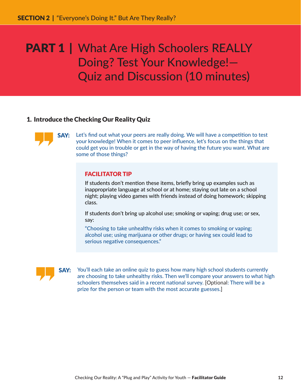# 1. Introduce the Checking Our Reality Quiz



SAY: Let's find out what your peers are really doing. We will have a competition to test your knowledge! When it comes to peer influence, let's focus on the things that could get you in trouble or get in the way of having the future you want. What are some of those things?

### FACILITATOR TIP

If students don't mention these items, briefly bring up examples such as inappropriate language at school or at home; staying out late on a school night; playing video games with friends instead of doing homework; skipping class.

If students don't bring up alcohol use; smoking or vaping; drug use; or sex, say:

"Choosing to take unhealthy risks when it comes to smoking or vaping; alcohol use; using marijuana or other drugs; or having sex could lead to serious negative consequences."



**SAY:** You'll each take an online quiz to guess how many high school students currently are choosing to take unhealthy risks. Then we'll compare your answers to what high schoolers themselves said in a recent national survey. [Optional: There will be a prize for the person or team with the most accurate guesses.]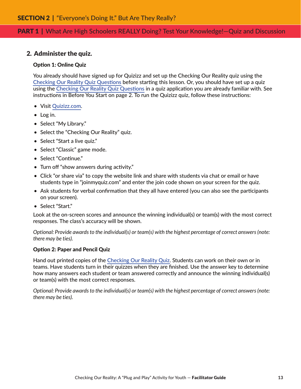### 2. Administer the quiz.

#### Option 1: Online Quiz

You already should have signed up for Quizizz and set up the Checking Our Reality quiz using the [Checking Our Reality Quiz Questions](https://teenpregnancy.acf.hhs.gov/sites/default/files/resource-files/CheckingOurRealityQuizQuestions.xlsx) before starting this lesson. Or, you should have set up a quiz using the [Checking Our Reality Quiz Questions](https://teenpregnancy.acf.hhs.gov/sites/default/files/resource-files/CheckingOurRealityQuizQuestions.xlsx) in a quiz application you are already familiar with. See instructions in Before You Start on page 2. To run the Quizizz quiz, follow these instructions:

- Visit [Quizizz.com.](https://quizizz.com/)
- Log in.
- Select "My Library."
- Select the "Checking Our Reality" quiz.
- Select "Start a live quiz."
- Select "Classic" game mode.
- Select "Continue."
- Turn off "show answers during activity."
- Click "or share via" to copy the website link and share with students via chat or email or have students type in "joinmyquiz.com" and enter the join code shown on your screen for the quiz.
- Ask students for verbal confirmation that they all have entered (you can also see the participants on your screen).
- Select "Start."

Look at the on-screen scores and announce the winning individual(s) or team(s) with the most correct responses. The class's accuracy will be shown.

*Optional: Provide awards to the individual(s) or team(s) with the highest percentage of correct answers (note: there may be ties).*

#### Option 2: Paper and Pencil Quiz

Hand out printed copies of the [Checking Our Reality Quiz.](https://teenpregnancy.acf.hhs.gov/sites/default/files/resource-files/CheckingOurRealityQuiz.pdf) Students can work on their own or in teams. Have students turn in their quizzes when they are finished. Use the answer key to determine how many answers each student or team answered correctly and announce the winning individual(s) or team(s) with the most correct responses.

*Optional: Provide awards to the individual(s) or team(s) with the highest percentage of correct answers (note: there may be ties).*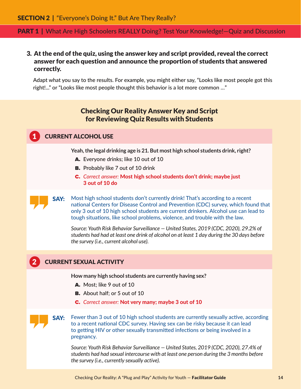# 3. At the end of the quiz, using the answer key and script provided, reveal the correct answer for each question and announce the proportion of students that answered correctly.

Adapt what you say to the results. For example, you might either say, "Looks like most people got this right!..." or "Looks like most people thought this behavior is a lot more common …"

# Checking Our Reality Answer Key and Script for Reviewing Quiz Results with Students

# **CURRENT ALCOHOL USE**

**Yeah, the legal drinking age is 21 . But most high school students drink, right?**

- A. Everyone drinks; like 10 out of 10
- **B.** Probably like 7 out of 10 drink
- C. *Correct answer:* Most high school students don't drink; maybe just 3 out of 10 do

SAY: Most high school students don't currently drink! That's according to a recent national Centers for Disease Control and Prevention (CDC) survey, which found that only 3 out of 10 high school students are current drinkers. Alcohol use can lead to tough situations, like school problems, violence, and trouble with the law.

*Source: Youth Risk Behavior Surveillance — United States, 2019 (CDC, 2020), 29.2% of students had had at least one drink of alcohol on at least 1 day during the 30 days before the survey (i.e., current alcohol use).*

# 2 CURRENT SEXUAL ACTIVITY

**How many high school students are currently having sex?**

- A. Most; like 9 out of 10
- **B.** About half; or 5 out of 10
- C. *Correct answer:* Not very many; maybe 3 out of 10

**SAY:** Fewer than 3 out of 10 high school students are currently sexually active, according to a recent national CDC survey. Having sex can be risky because it can lead to getting HIV or other sexually transmitted infections or being involved in a pregnancy.

*Source: Youth Risk Behavior Surveillance — United States, 2019 (CDC, 2020), 27.4% of students had had sexual intercourse with at least one person during the 3 months before the survey (i.e., currently sexually active).*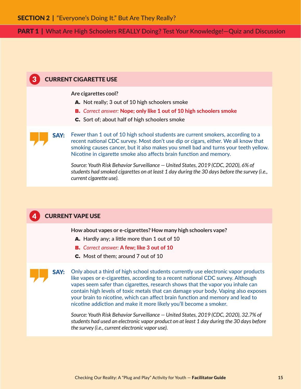### 3 CURRENT CIGARETTE USE

**Are cigarettes cool?**

- A. Not really; 3 out of 10 high schoolers smoke
- B. *Correct answer:* Nope; only like 1 out of 10 high schoolers smoke
- C. Sort of; about half of high schoolers smoke

SAY: Fewer than 1 out of 10 high school students are current smokers, according to a recent national CDC survey. Most don't use dip or cigars, either. We all know that smoking causes cancer, but it also makes you smell bad and turns your teeth yellow. Nicotine in cigarette smoke also affects brain function and memory.

*Source: Youth Risk Behavior Surveillance — United States, 2019 (CDC, 2020), 6% of students had smoked cigarettes on at least 1 day during the 30 days before the survey (i.e., current cigarette use).*

### **CURRENT VAPE USE**

**How about vapes or e-cigarettes? How many high schoolers vape?**

- A. Hardly any; a little more than 1 out of 10
- B. *Correct answer:* A few; like 3 out of 10
- C. Most of them; around 7 out of 10

**SAY:** Only about a third of high school students currently use electronic vapor products like vapes or e-cigarettes, according to a recent national CDC survey. Although vapes seem safer than cigarettes, research shows that the vapor you inhale can contain high levels of toxic metals that can damage your body. Vaping also exposes your brain to nicotine, which can affect brain function and memory and lead to nicotine addiction and make it more likely you'll become a smoker.

*Source: Youth Risk Behavior Surveillance — United States, 2019 (CDC, 2020), 32.7% of students had used an electronic vapor product on at least 1 day during the 30 days before the survey (i.e., current electronic vapor use).*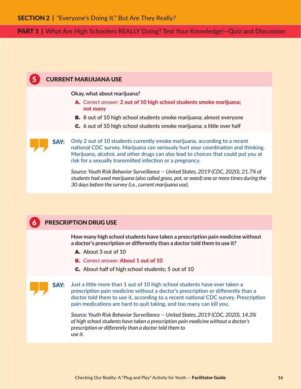# 5 CURRENT MARIJUANA USE

**Okay, what about marijuana?**

- A. *Correct answer:* 2 out of 10 high school students smoke marijuana; not many
- **B.** 8 out of 10 high school students smoke marijuana; almost everyone
- C. 6 out of 10 high school students smoke marijuana; a little over half

**SAY:** Only 2 out of 10 students currently smoke marijuana, according to a recent national CDC survey. Marijuana can seriously hurt your coordination and thinking. Marijuana, alcohol, and other drugs can also lead to choices that could put you at risk for a sexually transmitted infection or a pregnancy.

*Source: Youth Risk Behavior Surveillance — United States, 2019 (CDC, 2020), 21.7% of students had used marijuana (also called grass, pot, or weed) one or more times during the 30 days before the survey (i.e., current marijuana use).*

# **6 PRESCRIPTION DRUG USE**

**How many high school students have taken a prescription pain medicine without a doctor's prescription or differently than a doctor told them to use it?**

- A. About 3 out of 10
- B. *Correct answer:* About 1 out of 10
- C. About half of high school students; 5 out of 10

SAY: Just a little more than 1 out of 10 high school students have ever taken a prescription pain medicine without a doctor's prescription or differently than a doctor told them to use it, according to a recent national CDC survey. Prescription pain medications are hard to quit taking, and too many can kill you.

*Source: Youth Risk Behavior Surveillance — United States, 2019 (CDC, 2020), 14.3% of high school students have taken a prescription pain medicine without a doctor's prescription or differently than a doctor told them to use it.*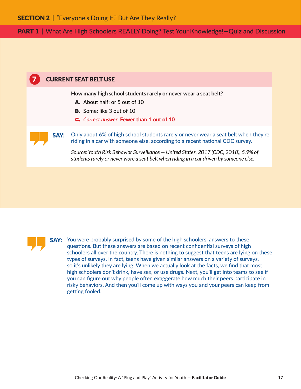



**SAY:** You were probably surprised by some of the high schoolers' answers to these questions. But these answers are based on recent confidential surveys of high schoolers all over the country. There is nothing to suggest that teens are lying on these types of surveys. In fact, teens have given similar answers on a variety of surveys, so it's unlikely they are lying. When we actually look at the facts, we find that most high schoolers don't drink, have sex, or use drugs. Next, you'll get into teams to see if you can figure out why people often exaggerate how much their peers participate in risky behaviors. And then you'll come up with ways you and your peers can keep from getting fooled.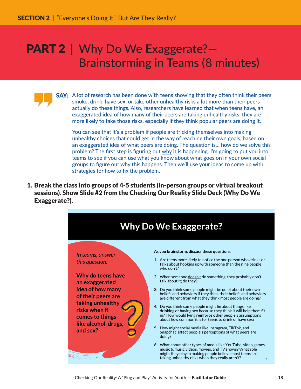# PART 2 | Why Do We Exaggerate?-Brainstorming in Teams (8 minutes)

**SAY:** A lot of research has been done with teens showing that they often think their peers smoke, drink, have sex, or take other unhealthy risks a lot more than their peers actually do these things. Also, researchers have learned that when teens have, an exaggerated idea of how many of their peers are taking unhealthy risks, they are more likely to take those risks, especially if they think popular peers are doing it.

You can see that it's a problem if people are tricking themselves into making unhealthy choices that could get in the way of reaching their own goals, based on an exaggerated idea of what peers are doing. The question is… how do we solve this problem? The first step is figuring out why it is happening. I'm going to put you into teams to see if you can use what you know about what goes on in your own social groups to figure out why this happens. Then we'll use your ideas to come up with strategies for how to fix the problem.

1. Break the class into groups of 4-5 students (in-person groups or virtual breakout sessions). Show Slide #2 from the Checking Our Reality Slide Deck (Why Do We Exaggerate?).

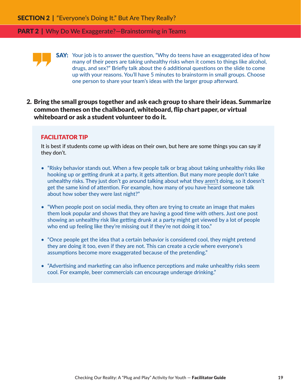#### **PART 2** | Why Do We Exaggerate?—Brainstorming in Teams



2. Bring the small groups together and ask each group to share their ideas. Summarize common themes on the chalkboard, whiteboard, flip chart paper, or virtual whiteboard or ask a student volunteer to do it.

#### FACILITATOR TIP

It is best if students come up with ideas on their own, but here are some things you can say if they don't.

- "Risky behavior stands out. When a few people talk or brag about taking unhealthy risks like hooking up or getting drunk at a party, it gets attention. But many more people don't take unhealthy risks. They just don't go around talking about what they aren't doing, so it doesn't get the same kind of attention. For example, how many of you have heard someone talk about how sober they were last night?"
- "When people post on social media, they often are trying to create an image that makes them look popular and shows that they are having a good time with others. Just one post showing an unhealthy risk like getting drunk at a party might get viewed by a lot of people who end up feeling like they're missing out if they're not doing it too."
- "Once people get the idea that a certain behavior is considered cool, they might pretend they are doing it too, even if they are not. This can create a cycle where everyone's assumptions become more exaggerated because of the pretending."
- "Advertising and marketing can also influence perceptions and make unhealthy risks seem cool. For example, beer commercials can encourage underage drinking."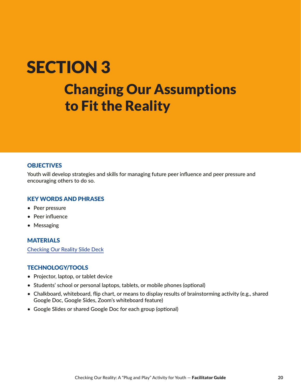# **SECTION 3**  $Chanoins$  Changing Our Assumptions to Fit the Reality

### **OBJECTIVES**

Youth will develop strategies and skills for managing future peer influence and peer pressure and encouraging others to do so.

### KEY WORDS AND PHRASES

- Peer pressure
- Peer influence
- Messaging

# MATERIALS

[Checking Our Reality Slide Deck](https://teenpregnancy.acf.hhs.gov/sites/default/files/resource-files/CheckingOurRealitySlideDeck.pptx)

# TECHNOLOGY/TOOLS

- Projector, laptop, or tablet device
- Students' school or personal laptops, tablets, or mobile phones (optional)
- Chalkboard, whiteboard, flip chart, or means to display results of brainstorming activity (e.g., shared Google Doc, Google Sides, Zoom's whiteboard feature)
- Google Slides or shared Google Doc for each group (optional)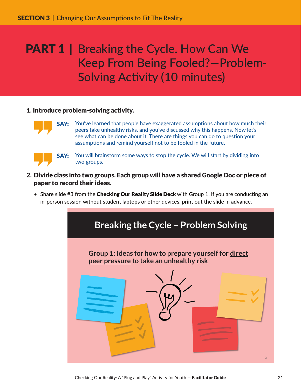# **PART 1** | Breaking the Cycle. How Can We Keep From Being Fooled?—Problem-Solving Activity (10 minutes)

# 1. Introduce problem-solving activity.



**SAY:** You've learned that people have exaggerated assumptions about how much their peers take unhealthy risks, and you've discussed why this happens. Now let's see what can be done about it. There are things you can do to question your assumptions and remind yourself not to be fooled in the future.



**SAY:** You will brainstorm some ways to stop the cycle. We will start by dividing into two groups.

- 2. Divide class into two groups. Each group will have a shared Google Doc or piece of paper to record their ideas.
	- Share slide #3 from the Checking Our Reality Slide Deck with Group 1. If you are conducting an in-person session without student laptops or other devices, print out the slide in advance.



Checking Our Reality: A "Plug and Play" Activity for Youth — Facilitator Guide **21**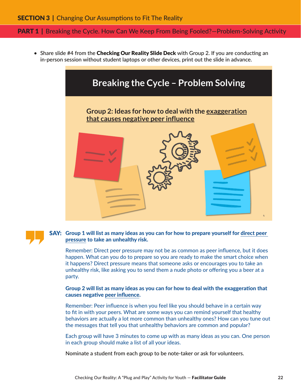#### **PART 1** | Breaking the Cycle. How Can We Keep From Being Fooled?—Problem-Solving Activity

• Share slide #4 from the Checking Our Reality Slide Deck with Group 2. If you are conducting an in-person session without student laptops or other devices, print out the slide in advance.



### SAY: Group 1 will list as many ideas as you can for how to prepare yourself for direct peer pressure to take an unhealthy risk.

Remember: Direct peer pressure may not be as common as peer influence, but it does happen. What can you do to prepare so you are ready to make the smart choice when it happens? Direct pressure means that someone asks or encourages you to take an unhealthy risk, like asking you to send them a nude photo or offering you a beer at a party.

#### Group 2 will list as many ideas as you can for how to deal with the exaggeration that causes negative peer influence.

Remember: Peer influence is when you feel like you should behave in a certain way to fit in with your peers. What are some ways you can remind yourself that healthy behaviors are actually a lot more common than unhealthy ones? How can you tune out the messages that tell you that unhealthy behaviors are common and popular?

Each group will have 3 minutes to come up with as many ideas as you can. One person in each group should make a list of all your ideas.

Nominate a student from each group to be note-taker or ask for volunteers.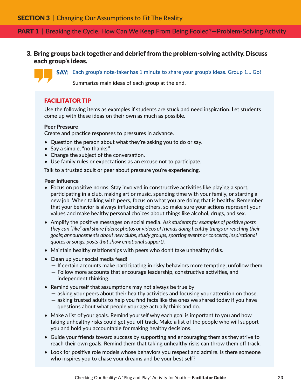# **PART 1** | Breaking the Cycle. How Can We Keep From Being Fooled?—Problem-Solving Activity

3. Bring groups back together and debrief from the problem-solving activity. Discuss each group's ideas.

SAY: Each group's note-taker has 1 minute to share your group's ideas. Group 1... Go!

Summarize main ideas of each group at the end.

### FACILITATOR TIP

Use the following items as examples if students are stuck and need inspiration. Let students come up with these ideas on their own as much as possible.

#### Peer Pressure

Create and practice responses to pressures in advance.

- Question the person about what they're asking you to do or say.
- Say a simple, "no thanks."
- Change the subject of the conversation.
- Use family rules or expectations as an excuse not to participate.

Talk to a trusted adult or peer about pressure you're experiencing.

#### Peer Influence

- Focus on positive norms. Stay involved in constructive activities like playing a sport, participating in a club, making art or music, spending time with your family, or starting a new job. When talking with peers, focus on what you are doing that is healthy. Remember that your behavior is always influencing others, so make sure your actions represent your values and make healthy personal choices about things like alcohol, drugs, and sex.
- Amplify the positive messages on social media. *Ask students for examples of positive posts they can "like" and share (ideas: photos or videos of friends doing healthy things or reaching their goals; announcements about new clubs, study groups, sporting events or concerts; inspirational quotes or songs; posts that show emotional support).*
- Maintain healthy relationships with peers who don't take unhealthy risks.
- Clean up your social media feed!
	- If certain accounts make participating in risky behaviors more tempting, unfollow them.
	- Follow more accounts that encourage leadership, constructive activities, and independent thinking.
- Remind yourself that assumptions may not always be true by
	- asking your peers about their healthy activities and focusing your attention on those.
	- asking trusted adults to help you find facts like the ones we shared today if you have questions about what people your age actually think and do.
- Make a list of your goals. Remind yourself why each goal is important to you and how taking unhealthy risks could get you off track. Make a list of the people who will support you and hold you accountable for making healthy decisions.
- Guide your friends toward success by supporting and encouraging them as they strive to reach their own goals. Remind them that taking unhealthy risks can throw them off track.
- Look for positive role models whose behaviors you respect and admire. Is there someone who inspires you to chase your dreams and be your best self?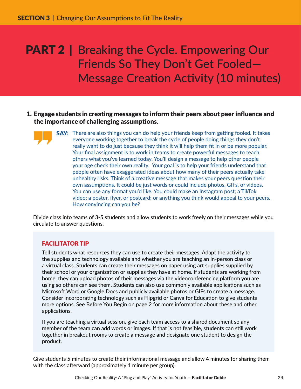# **PART 2** | Breaking the Cycle. Empowering Our Friends So They Don't Get Fooled— Message Creation Activity (10 minutes)

- 1. Engage students in creating messages to inform their peers about peer influence and the importance of challenging assumptions.
	- **SAY:** There are also things you can do help your friends keep from getting fooled. It takes everyone working together to break the cycle of people doing things they don't really want to do just because they think it will help them fit in or be more popular. Your final assignment is to work in teams to create powerful messages to teach others what you've learned today. You'll design a message to help other people your age check their own reality. Your goal is to help your friends understand that people often have exaggerated ideas about how many of their peers actually take unhealthy risks. Think of a creative message that makes your peers question their own assumptions. It could be just words or could include photos, GIFs, or videos. You can use any format you'd like. You could make an Instagram post; a TikTok video; a poster, flyer, or postcard; or anything you think would appeal to your peers. How convincing can you be?

Divide class into teams of 3-5 students and allow students to work freely on their messages while you circulate to answer questions.

### FACILITATOR TIP

Tell students what resources they can use to create their messages. Adapt the activity to the supplies and technology available and whether you are teaching an in-person class or a virtual class. Students can create their messages on paper using art supplies supplied by their school or your organization or supplies they have at home. If students are working from home, they can upload photos of their messages via the videoconferencing platform you are using so others can see them. Students can also use commonly available applications such as Microsoft Word or Google Docs and publicly available photos or GIFs to create a message. Consider incorporating technology such as Flipgrid or Canva for Education to give students more options. See Before You Begin on page 2 for more information about these and other applications.

If you are teaching a virtual session, give each team access to a shared document so any member of the team can add words or images. If that is not feasible, students can still work together in breakout rooms to create a message and designate one student to design the product.

Give students 5 minutes to create their informational message and allow 4 minutes for sharing them with the class afterward (approximately 1 minute per group).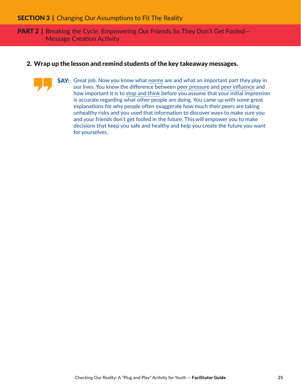**PART 2** | Breaking the Cycle. Empowering Our Friends So They Don't Get Fooled-Message Creation Activity

#### 2. Wrap up the lesson and remind students of the key takeaway messages.

**SAY:** Great job. Now you know what norms are and what an important part they play in our lives. You know the difference between peer pressure and peer influence and how important it is to stop and think before you assume that your initial impression is accurate regarding what other people are doing. You came up with some great explanations for why people often exaggerate how much their peers are taking unhealthy risks and you used that information to discover ways to make sure you and your friends don't get fooled in the future. This will empower you to make decisions that keep you safe and healthy and help you create the future you want for yourselves.